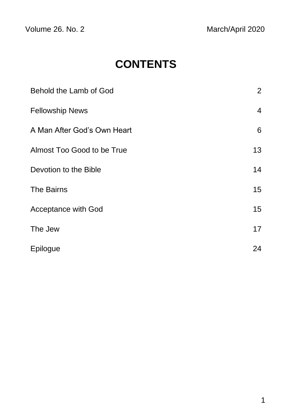Volume 26. No. 2 March/April 2020

# **CONTENTS**

| Behold the Lamb of God      | $\overline{2}$ |
|-----------------------------|----------------|
| <b>Fellowship News</b>      | $\overline{4}$ |
| A Man After God's Own Heart | 6              |
| Almost Too Good to be True  | 13             |
| Devotion to the Bible       | 14             |
| The Bairns                  | 15             |
| Acceptance with God         | 15             |
| The Jew                     | 17             |
| Epilogue                    | 24             |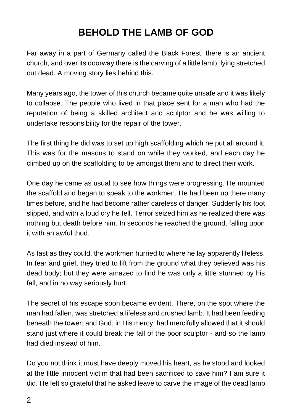# **BEHOLD THE LAMB OF GOD**

Far away in a part of Germany called the Black Forest, there is an ancient church, and over its doorway there is the carving of a little lamb, lying stretched out dead. A moving story lies behind this.

Many years ago, the tower of this church became quite unsafe and it was likely to collapse. The people who lived in that place sent for a man who had the reputation of being a skilled architect and sculptor and he was willing to undertake responsibility for the repair of the tower.

The first thing he did was to set up high scaffolding which he put all around it. This was for the masons to stand on while they worked, and each day he climbed up on the scaffolding to be amongst them and to direct their work.

One day he came as usual to see how things were progressing. He mounted the scaffold and began to speak to the workmen. He had been up there many times before, and he had become rather careless of danger. Suddenly his foot slipped, and with a loud cry he fell. Terror seized him as he realized there was nothing but death before him. In seconds he reached the ground, falling upon it with an awful thud.

As fast as they could, the workmen hurried to where he lay apparently lifeless. In fear and grief, they tried to lift from the ground what they believed was his dead body; but they were amazed to find he was only a little stunned by his fall, and in no way seriously hurt.

The secret of his escape soon became evident. There, on the spot where the man had fallen, was stretched a lifeless and crushed lamb. It had been feeding beneath the tower; and God, in His mercy, had mercifully allowed that it should stand just where it could break the fall of the poor sculptor - and so the lamb had died instead of him.

Do you not think it must have deeply moved his heart, as he stood and looked at the little innocent victim that had been sacrificed to save him? I am sure it did. He felt so grateful that he asked leave to carve the image of the dead lamb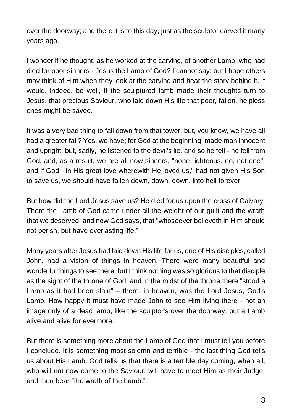over the doorway; and there it is to this day, just as the sculptor carved it many years ago.

I wonder if he thought, as he worked at the carving, of another Lamb, who had died for poor sinners - Jesus the Lamb of God? I cannot say; but I hope others may think of Him when they look at the carving and hear the story behind it. It would, indeed, be well, if the sculptured lamb made their thoughts turn to Jesus, that precious Saviour, who laid down His life that poor, fallen, helpless ones might be saved.

It was a very bad thing to fall down from that tower, but, you know, we have all had a greater fall? Yes, we have; for God at the beginning, made man innocent and upright, but, sadly, he listened to the devil's lie, and so he fell - he fell from God, and, as a result, we are all now sinners, "none righteous, no, not one"; and if God, "in His great love wherewith He loved us," had not given His Son to save us, we should have fallen down, down, down, into hell forever.

But how did the Lord Jesus save us? He died for us upon the cross of Calvary. There the Lamb of God came under all the weight of our guilt and the wrath that we deserved, and now God says, that "whosoever believeth in Him should not perish, but have everlasting life."

Many years after Jesus had laid down His life for us, one of His disciples, called John, had a vision of things in heaven. There were many beautiful and wonderful things to see there, but I think nothing was so glorious to that disciple as the sight of the throne of God, and in the midst of the throne there "stood a Lamb as it had been slain" – there, in heaven, was the Lord Jesus, God's Lamb. How happy it must have made John to see Him living there - not an image only of a dead lamb, like the sculptor's over the doorway, but a Lamb alive and alive for evermore.

But there is something more about the Lamb of God that I must tell you before I conclude. It is something most solemn and terrible - the last thing God tells us about His Lamb. God tells us that there is a terrible day coming, when all, who will not now come to the Saviour, will have to meet Him as their Judge, and then bear "the wrath of the Lamb."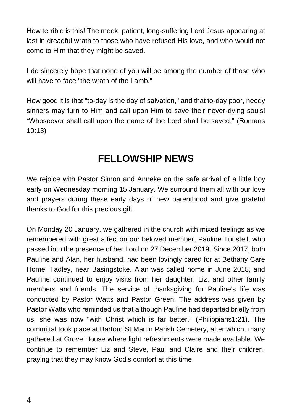How terrible is this! The meek, patient, long-suffering Lord Jesus appearing at last in dreadful wrath to those who have refused His love, and who would not come to Him that they might be saved.

I do sincerely hope that none of you will be among the number of those who will have to face "the wrath of the Lamb."

How good it is that "to-day is the day of salvation," and that to-day poor, needy sinners may turn to Him and call upon Him to save their never-dying souls! "Whosoever shall call upon the name of the Lord shall be saved." (Romans 10:13)

### **FELLOWSHIP NEWS**

We rejoice with Pastor Simon and Anneke on the safe arrival of a little boy early on Wednesday morning 15 January. We surround them all with our love and prayers during these early days of new parenthood and give grateful thanks to God for this precious gift.

On Monday 20 January, we gathered in the church with mixed feelings as we remembered with great affection our beloved member, Pauline Tunstell, who passed into the presence of her Lord on 27 December 2019. Since 2017, both Pauline and Alan, her husband, had been lovingly cared for at Bethany Care Home, Tadley, near Basingstoke. Alan was called home in June 2018, and Pauline continued to enjoy visits from her daughter, Liz, and other family members and friends. The service of thanksgiving for Pauline's life was conducted by Pastor Watts and Pastor Green. The address was given by Pastor Watts who reminded us that although Pauline had departed briefly from us, she was now "with Christ which is far better." (Philippians1:21). The committal took place at Barford St Martin Parish Cemetery, after which, many gathered at Grove House where light refreshments were made available. We continue to remember Liz and Steve, Paul and Claire and their children, praying that they may know God's comfort at this time.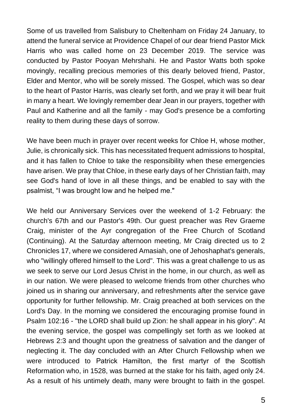Some of us travelled from Salisbury to Cheltenham on Friday 24 January, to attend the funeral service at Providence Chapel of our dear friend Pastor Mick Harris who was called home on 23 December 2019. The service was conducted by Pastor Pooyan Mehrshahi. He and Pastor Watts both spoke movingly, recalling precious memories of this dearly beloved friend, Pastor, Elder and Mentor, who will be sorely missed. The Gospel, which was so dear to the heart of Pastor Harris, was clearly set forth, and we pray it will bear fruit in many a heart. We lovingly remember dear Jean in our prayers, together with Paul and Katherine and all the family - may God's presence be a comforting reality to them during these days of sorrow.

We have been much in prayer over recent weeks for Chloe H, whose mother, Julie, is chronically sick. This has necessitated frequent admissions to hospital, and it has fallen to Chloe to take the responsibility when these emergencies have arisen. We pray that Chloe, in these early days of her Christian faith, may see God's hand of love in all these things, and be enabled to say with the psalmist, "I was brought low and he helped me."

We held our Anniversary Services over the weekend of 1-2 February: the church's 67th and our Pastor's 49th. Our guest preacher was Rev Graeme Craig, minister of the Ayr congregation of the Free Church of Scotland (Continuing). At the Saturday afternoon meeting, Mr Craig directed us to 2 Chronicles 17, where we considered Amasiah, one of Jehoshaphat's generals, who "willingly offered himself to the Lord". This was a great challenge to us as we seek to serve our Lord Jesus Christ in the home, in our church, as well as in our nation. We were pleased to welcome friends from other churches who joined us in sharing our anniversary, and refreshments after the service gave opportunity for further fellowship. Mr. Craig preached at both services on the Lord's Day. In the morning we considered the encouraging promise found in Psalm 102:16 - "the LORD shall build up Zion: he shall appear in his glory". At the evening service, the gospel was compellingly set forth as we looked at Hebrews 2:3 and thought upon the greatness of salvation and the danger of neglecting it. The day concluded with an After Church Fellowship when we were introduced to Patrick Hamilton, the first martyr of the Scottish Reformation who, in 1528, was burned at the stake for his faith, aged only 24. As a result of his untimely death, many were brought to faith in the gospel.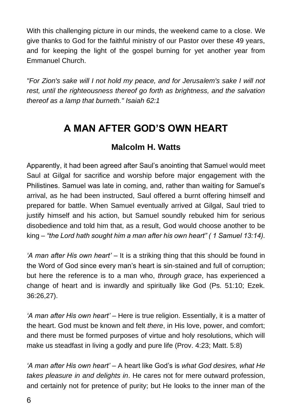With this challenging picture in our minds, the weekend came to a close. We give thanks to God for the faithful ministry of our Pastor over these 49 years, and for keeping the light of the gospel burning for yet another year from Emmanuel Church.

*"For Zion's sake will I not hold my peace, and for Jerusalem's sake I will not rest, until the righteousness thereof go forth as brightness, and the salvation thereof as a lamp that burneth." Isaiah 62:1*

### **A MAN AFTER GOD'S OWN HEART**

### **Malcolm H. Watts**

Apparently, it had been agreed after Saul's anointing that Samuel would meet Saul at Gilgal for sacrifice and worship before major engagement with the Philistines. Samuel was late in coming, and, rather than waiting for Samuel's arrival, as he had been instructed, Saul offered a burnt offering himself and prepared for battle. When Samuel eventually arrived at Gilgal, Saul tried to justify himself and his action, but Samuel soundly rebuked him for serious disobedience and told him that, as a result, God would choose another to be king – *"the Lord hath sought him a man after his own heart" ( 1 Samuel 13:14).*

*'A man after His own heart'* – It is a striking thing that this should be found in the Word of God since every man's heart is sin-stained and full of corruption; but here the reference is to a man who, *through grace*, has experienced a change of heart and is inwardly and spiritually like God (Ps. 51:10; Ezek. 36:26,27).

*'A man after His own heart'* – Here is true religion. Essentially, it is a matter of the heart. God must be known and felt *there*, in His love, power, and comfort; and there must be formed purposes of virtue and holy resolutions, which will make us steadfast in living a godly and pure life (Prov. 4:23; Matt. 5:8)

*'A man after His own heart'* – A heart like God's is *what God desires, what He takes pleasure in and delights in*. He cares not for mere outward profession, and certainly not for pretence of purity; but He looks to the inner man of the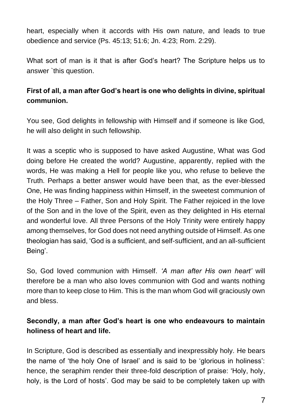heart, especially when it accords with His own nature, and leads to true obedience and service (Ps. 45:13; 51:6; Jn. 4:23; Rom. 2:29).

What sort of man is it that is after God's heart? The Scripture helps us to answer `this question.

#### **First of all, a man after God's heart is one who delights in divine, spiritual communion.**

You see, God delights in fellowship with Himself and if someone is like God, he will also delight in such fellowship.

It was a sceptic who is supposed to have asked Augustine, What was God doing before He created the world? Augustine, apparently, replied with the words, He was making a Hell for people like you, who refuse to believe the Truth. Perhaps a better answer would have been that, as the ever-blessed One, He was finding happiness within Himself, in the sweetest communion of the Holy Three – Father, Son and Holy Spirit. The Father rejoiced in the love of the Son and in the love of the Spirit, even as they delighted in His eternal and wonderful love. All three Persons of the Holy Trinity were entirely happy among themselves, for God does not need anything outside of Himself. As one theologian has said, 'God is a sufficient, and self-sufficient, and an all-sufficient Being'.

So, God loved communion with Himself. *'A man after His own heart'* will therefore be a man who also loves communion with God and wants nothing more than to keep close to Him. This is the man whom God will graciously own and bless.

#### **Secondly, a man after God's heart is one who endeavours to maintain holiness of heart and life.**

In Scripture, God is described as essentially and inexpressibly holy. He bears the name of 'the holy One of Israel' and is said to be 'glorious in holiness': hence, the seraphim render their three-fold description of praise: 'Holy, holy, holy, is the Lord of hosts'. God may be said to be completely taken up with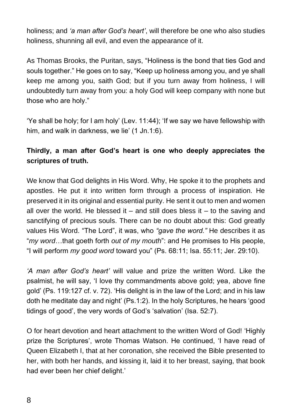holiness; and *'a man after God's heart'*, will therefore be one who also studies holiness, shunning all evil, and even the appearance of it.

As Thomas Brooks, the Puritan, says, "Holiness is the bond that ties God and souls together." He goes on to say, "Keep up holiness among you, and ye shall keep me among you, saith God; but if you turn away from holiness, I will undoubtedly turn away from you: a holy God will keep company with none but those who are holy."

'Ye shall be holy; for I am holy' (Lev. 11:44); 'If we say we have fellowship with him, and walk in darkness, we lie' (1 Jn.1:6).

#### **Thirdly, a man after God's heart is one who deeply appreciates the scriptures of truth.**

We know that God delights in His Word. Why, He spoke it to the prophets and apostles. He put it into written form through a process of inspiration. He preserved it in its original and essential purity. He sent it out to men and women all over the world. He blessed it – and still does bless it – to the saving and sanctifying of precious souls. There can be no doubt about this: God greatly values His Word. "The Lord", it was, who *"gave the word."* He describes it as "*my word*…that goeth forth *out of my mouth*": and He promises to His people, "I will perform *my good word* toward you" (Ps. 68:11; Isa. 55:11; Jer. 29:10).

*'A man after God's heart'* will value and prize the written Word. Like the psalmist, he will say, 'I love thy commandments above gold; yea, above fine gold' (Ps. 119:127 cf. v. 72). 'His delight is in the law of the Lord; and in his law doth he meditate day and night' (Ps.1:2). In the holy Scriptures, he hears 'good tidings of good', the very words of God's 'salvation' (Isa. 52:7).

O for heart devotion and heart attachment to the written Word of God! 'Highly prize the Scriptures', wrote Thomas Watson. He continued, 'I have read of Queen Elizabeth I, that at her coronation, she received the Bible presented to her, with both her hands, and kissing it, laid it to her breast, saying, that book had ever been her chief delight.'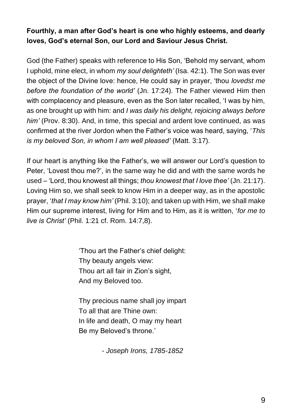#### **Fourthly, a man after God's heart is one who highly esteems, and dearly loves, God's eternal Son, our Lord and Saviour Jesus Christ.**

God (the Father) speaks with reference to His Son, 'Behold my servant, whom I uphold, mine elect, in whom *my soul delighteth'* (Isa. 42:1). The Son was ever the object of the Divine love: hence, He could say in prayer, 'thou *lovedst me before the foundation of the world'* (Jn. 17:24). The Father viewed Him then with complacency and pleasure, even as the Son later recalled, 'I was by him, as one brought up with him: and *I was daily his delight, rejoicing always before him'* (Prov. 8:30). And, in time, this special and ardent love continued, as was confirmed at the river Jordon when the Father's voice was heard, saying, '*This is my beloved Son, in whom I am well pleased'* (Matt. 3:17).

If our heart is anything like the Father's, we will answer our Lord's question to Peter, 'Lovest thou me?', in the same way he did and with the same words he used – 'Lord, thou knowest all things; *thou knowest that I love thee'* (Jn. 21:17). Loving Him so, we shall seek to know Him in a deeper way, as in the apostolic prayer, '*that I may know him'* (Phil. 3:10); and taken up with Him, we shall make Him our supreme interest, living for Him and to Him, as it is written, '*for me to live is Christ'* (Phil. 1:21 cf. Rom. 14:7,8).

> 'Thou art the Father's chief delight: Thy beauty angels view: Thou art all fair in Zion's sight, And my Beloved too.

> Thy precious name shall joy impart To all that are Thine own: In life and death, O may my heart Be my Beloved's throne.'

> > *- Joseph Irons, 1785-1852*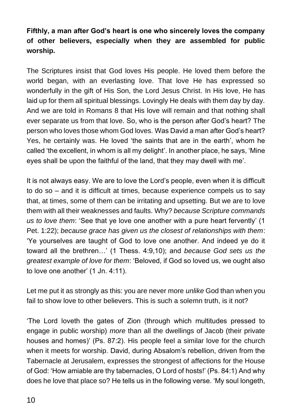**Fifthly, a man after God's heart is one who sincerely loves the company of other believers, especially when they are assembled for public worship.** 

The Scriptures insist that God loves His people. He loved them before the world began, with an everlasting love. That love He has expressed so wonderfully in the gift of His Son, the Lord Jesus Christ. In His love, He has laid up for them all spiritual blessings. Lovingly He deals with them day by day. And we are told in Romans 8 that His love will remain and that nothing shall ever separate us from that love. So, who is the person after God's heart? The person who loves those whom God loves. Was David a man after God's heart? Yes, he certainly was. He loved 'the saints that are in the earth', whom he called 'the excellent, in whom is all my delight'. In another place, he says, 'Mine eyes shall be upon the faithful of the land, that they may dwell with me'.

It is not always easy. We are to love the Lord's people, even when it is difficult to do so – and it is difficult at times, because experience compels us to say that, at times, some of them can be irritating and upsetting. But we are to love them with all their weaknesses and faults. Why? *because Scripture commands us to love them*: 'See that ye love one another with a pure heart fervently' (1 Pet. 1:22); *because grace has given us the closest of relationships with them*: 'Ye yourselves are taught of God to love one another. And indeed ye do it toward all the brethren…' (1 Thess. 4:9,10); and *because God sets us the greatest example of love for them*: 'Beloved, if God so loved us, we ought also to love one another' (1 Jn. 4:11).

Let me put it as strongly as this: you are never more *unlike* God than when you fail to show love to other believers. This is such a solemn truth, is it not?

'The Lord loveth the gates of Zion (through which multitudes pressed to engage in public worship) *more* than all the dwellings of Jacob (their private houses and homes)' (Ps. 87:2). His people feel a similar love for the church when it meets for worship. David, during Absalom's rebellion, driven from the Tabernacle at Jerusalem, expresses the strongest of affections for the House of God: 'How amiable are thy tabernacles, O Lord of hosts!' (Ps. 84:1) And why does he love that place so? He tells us in the following verse. 'My soul longeth,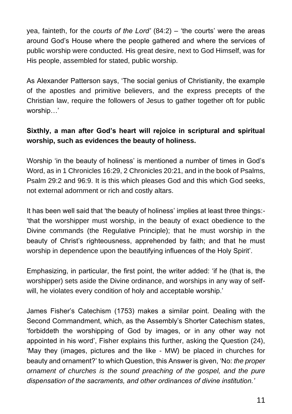yea, fainteth, for the *courts of the Lord'* (84:2) – 'the courts' were the areas around God's House where the people gathered and where the services of public worship were conducted. His great desire, next to God Himself, was for His people, assembled for stated, public worship.

As Alexander Patterson says, 'The social genius of Christianity, the example of the apostles and primitive believers, and the express precepts of the Christian law, require the followers of Jesus to gather together oft for public worship…'

#### **Sixthly, a man after God's heart will rejoice in scriptural and spiritual worship, such as evidences the beauty of holiness.**

Worship 'in the beauty of holiness' is mentioned a number of times in God's Word, as in 1 Chronicles 16:29, 2 Chronicles 20:21, and in the book of Psalms, Psalm 29:2 and 96:9. It is this which pleases God and this which God seeks, not external adornment or rich and costly altars.

It has been well said that 'the beauty of holiness' implies at least three things:- 'that the worshipper must worship, in the beauty of exact obedience to the Divine commands (the Regulative Principle); that he must worship in the beauty of Christ's righteousness, apprehended by faith; and that he must worship in dependence upon the beautifying influences of the Holy Spirit'.

Emphasizing, in particular, the first point, the writer added: 'if he (that is, the worshipper) sets aside the Divine ordinance, and worships in any way of selfwill, he violates every condition of holy and acceptable worship.'

James Fisher's Catechism (1753) makes a similar point. Dealing with the Second Commandment, which, as the Assembly's Shorter Catechism states, 'forbiddeth the worshipping of God by images, or in any other way not appointed in his word', Fisher explains this further, asking the Question (24), 'May they (images, pictures and the like - MW) be placed in churches for beauty and ornament?' to which Question, this Answer is given, 'No: *the proper ornament of churches is the sound preaching of the gospel, and the pure dispensation of the sacraments, and other ordinances of divine institution.'*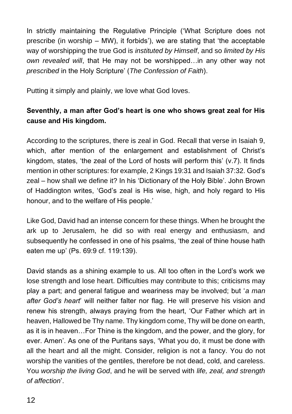In strictly maintaining the Regulative Principle ('What Scripture does not prescribe (in worship – MW), it forbids'), we are stating that 'the acceptable way of worshipping the true God is *instituted by Himself*, and so *limited by His own revealed will*, that He may not be worshipped…in any other way not *prescribed* in the Holy Scripture' (*The Confession of Faith*).

Putting it simply and plainly, we love what God loves.

#### **Seventhly, a man after God's heart is one who shows great zeal for His cause and His kingdom.**

According to the scriptures, there is zeal in God. Recall that verse in Isaiah 9, which, after mention of the enlargement and establishment of Christ's kingdom, states, 'the zeal of the Lord of hosts will perform this' (v.7). It finds mention in other scriptures: for example, 2 Kings 19:31 and Isaiah 37:32. God's zeal – how shall we define it? In his 'Dictionary of the Holy Bible'. John Brown of Haddington writes, 'God's zeal is His wise, high, and holy regard to His honour, and to the welfare of His people.'

Like God, David had an intense concern for these things. When he brought the ark up to Jerusalem, he did so with real energy and enthusiasm, and subsequently he confessed in one of his psalms, 'the zeal of thine house hath eaten me up' (Ps. 69:9 cf. 119:139).

David stands as a shining example to us. All too often in the Lord's work we lose strength and lose heart. Difficulties may contribute to this; criticisms may play a part; and general fatigue and weariness may be involved; but '*a man after God's heart*' will neither falter nor flag. He will preserve his vision and renew his strength, always praying from the heart, 'Our Father which art in heaven, Hallowed be Thy name. Thy kingdom come, Thy will be done on earth, as it is in heaven…For Thine is the kingdom, and the power, and the glory, for ever. Amen'. As one of the Puritans says, 'What you do, it must be done with all the heart and all the might. Consider, religion is not a fancy. You do not worship the vanities of the gentiles, therefore be not dead, cold, and careless. You *worship the living God*, and he will be served with *life, zeal, and strength of affection*'.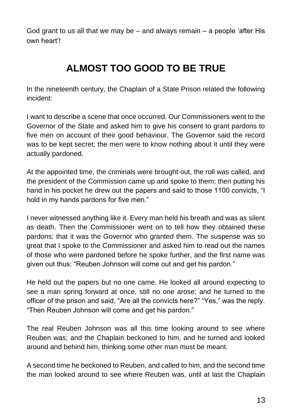God grant to us all that we may be – and always remain – a people 'after His own heart'!

# **ALMOST TOO GOOD TO BE TRUE**

In the nineteenth century, the Chaplain of a State Prison related the following incident:

I want to describe a scene that once occurred. Our Commissioners went to the Governor of the State and asked him to give his consent to grant pardons to five men on account of their good behaviour. The Governor said the record was to be kept secret; the men were to know nothing about it until they were actually pardoned.

At the appointed time, the criminals were brought out, the roll was called, and the president of the Commission came up and spoke to them; then putting his hand in his pocket he drew out the papers and said to those 1100 convicts, "I hold in my hands pardons for five men."

I never witnessed anything like it. Every man held his breath and was as silent as death. Then the Commissioner went on to tell how they obtained these pardons; that it was the Governor who granted them. The suspense was so great that I spoke to the Commissioner and asked him to read out the names of those who were pardoned before he spoke further, and the first name was given out thus: "Reuben Johnson will come out and get his pardon."

He held out the papers but no one came. He looked all around expecting to see a man spring forward at once, still no one arose; and he turned to the officer of the prison and said, "Are all the convicts here?" "Yes," was the reply. "Then Reuben Johnson will come and get his pardon."

The real Reuben Johnson was all this time looking around to see where Reuben was; and the Chaplain beckoned to him, and he turned and looked around and behind him, thinking some other man must be meant.

A second time he beckoned to Reuben, and called to him, and the second time the man looked around to see where Reuben was, until at last the Chaplain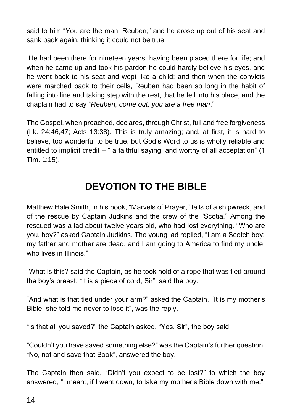said to him "You are the man, Reuben;" and he arose up out of his seat and sank back again, thinking it could not be true.

He had been there for nineteen years, having been placed there for life; and when he came up and took his pardon he could hardly believe his eyes, and he went back to his seat and wept like a child; and then when the convicts were marched back to their cells, Reuben had been so long in the habit of falling into line and taking step with the rest, that he fell into his place, and the chaplain had to say "*Reuben, come out; you are a free man*."

The Gospel, when preached, declares, through Christ, full and free forgiveness (Lk. 24:46,47; Acts 13:38). This is truly amazing; and, at first, it is hard to believe, too wonderful to be true, but God's Word to us is wholly reliable and entitled to implicit credit – " a faithful saying, and worthy of all acceptation" (1 Tim. 1:15).

### **DEVOTION TO THE BIBLE**

Matthew Hale Smith, in his book, "Marvels of Prayer," tells of a shipwreck, and of the rescue by Captain Judkins and the crew of the "Scotia." Among the rescued was a lad about twelve years old, who had lost everything. "Who are you, boy?" asked Captain Judkins. The young lad replied, "I am a Scotch boy; my father and mother are dead, and I am going to America to find my uncle, who lives in Illinois."

"What is this? said the Captain, as he took hold of a rope that was tied around the boy's breast. "It is a piece of cord, Sir", said the boy.

"And what is that tied under your arm?" asked the Captain. "It is my mother's Bible: she told me never to lose it", was the reply.

"Is that all you saved?" the Captain asked. "Yes, Sir", the boy said.

"Couldn't you have saved something else?" was the Captain's further question. "No, not and save that Book", answered the boy.

The Captain then said, "Didn't you expect to be lost?" to which the boy answered, "I meant, if I went down, to take my mother's Bible down with me."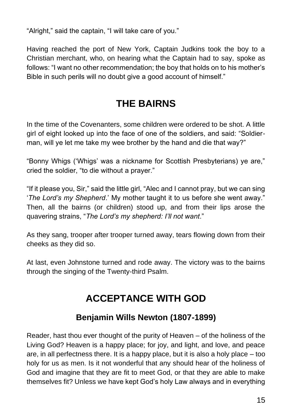"Alright," said the captain, "I will take care of you."

Having reached the port of New York, Captain Judkins took the boy to a Christian merchant, who, on hearing what the Captain had to say, spoke as follows: "I want no other recommendation; the boy that holds on to his mother's Bible in such perils will no doubt give a good account of himself."

## **THE BAIRNS**

In the time of the Covenanters, some children were ordered to be shot. A little girl of eight looked up into the face of one of the soldiers, and said: "Soldierman, will ye let me take my wee brother by the hand and die that way?"

"Bonny Whigs ('Whigs' was a nickname for Scottish Presbyterians) ye are," cried the soldier, "to die without a prayer."

"If it please you, Sir," said the little girl, "Alec and I cannot pray, but we can sing '*The Lord's my Shepherd*.' My mother taught it to us before she went away." Then, all the bairns (or children) stood up, and from their lips arose the quavering strains, "*The Lord's my shepherd: I'll not want*."

As they sang, trooper after trooper turned away, tears flowing down from their cheeks as they did so.

At last, even Johnstone turned and rode away. The victory was to the bairns through the singing of the Twenty-third Psalm.

## **ACCEPTANCE WITH GOD**

### **Benjamin Wills Newton (1807-1899)**

Reader, hast thou ever thought of the purity of Heaven – of the holiness of the Living God? Heaven is a happy place; for joy, and light, and love, and peace are, in all perfectness there. It is a happy place, but it is also a holy place – too holy for us as men. Is it not wonderful that any should hear of the holiness of God and imagine that they are fit to meet God, or that they are able to make themselves fit? Unless we have kept God's holy Law always and in everything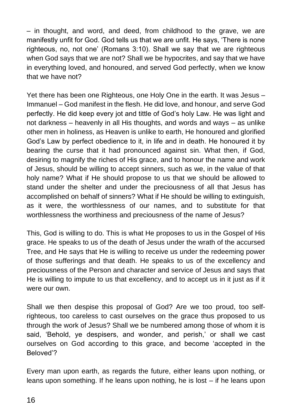– in thought, and word, and deed, from childhood to the grave, we are manifestly unfit for God. God tells us that we are unfit. He says, 'There is none righteous, no, not one' (Romans 3:10). Shall we say that we are righteous when God says that we are not? Shall we be hypocrites, and say that we have in everything loved, and honoured, and served God perfectly, when we know that we have not?

Yet there has been one Righteous, one Holy One in the earth. It was Jesus – Immanuel – God manifest in the flesh. He did love, and honour, and serve God perfectly. He did keep every jot and tittle of God's holy Law. He was light and not darkness – heavenly in all His thoughts, and words and ways – as unlike other men in holiness, as Heaven is unlike to earth, He honoured and glorified God's Law by perfect obedience to it, in life and in death. He honoured it by bearing the curse that it had pronounced against sin. What then, if God, desiring to magnify the riches of His grace, and to honour the name and work of Jesus, should be willing to accept sinners, such as we, in the value of that holy name? What if He should propose to us that we should be allowed to stand under the shelter and under the preciousness of all that Jesus has accomplished on behalf of sinners? What if He should be willing to extinguish, as it were, the worthlessness of our names, and to substitute for that worthlessness the worthiness and preciousness of the name of Jesus?

This, God is willing to do. This is what He proposes to us in the Gospel of His grace. He speaks to us of the death of Jesus under the wrath of the accursed Tree, and He says that He is willing to receive us under the redeeming power of those sufferings and that death. He speaks to us of the excellency and preciousness of the Person and character and service of Jesus and says that He is willing to impute to us that excellency, and to accept us in it just as if it were our own.

Shall we then despise this proposal of God? Are we too proud, too selfrighteous, too careless to cast ourselves on the grace thus proposed to us through the work of Jesus? Shall we be numbered among those of whom it is said, 'Behold, ye despisers, and wonder, and perish,' or shall we cast ourselves on God according to this grace, and become 'accepted in the Beloved'?

Every man upon earth, as regards the future, either leans upon nothing, or leans upon something. If he leans upon nothing, he is lost – if he leans upon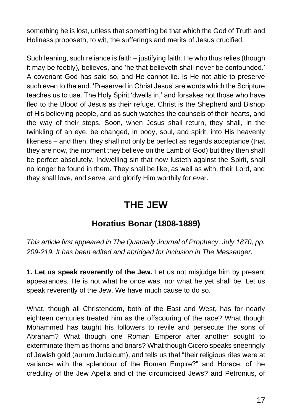something he is lost, unless that something be that which the God of Truth and Holiness proposeth, to wit, the sufferings and merits of Jesus crucified.

Such leaning, such reliance is faith – justifying faith. He who thus relies (though it may be feebly), believes, and 'he that believeth shall never be confounded.' A covenant God has said so, and He cannot lie. Is He not able to preserve such even to the end. 'Preserved in Christ Jesus' are words which the Scripture teaches us to use. The Holy Spirit 'dwells in,' and forsakes not those who have fled to the Blood of Jesus as their refuge. Christ is the Shepherd and Bishop of His believing people, and as such watches the counsels of their hearts, and the way of their steps. Soon, when Jesus shall return, they shall, in the twinkling of an eye, be changed, in body, soul, and spirit, into His heavenly likeness – and then, they shall not only be perfect as regards acceptance (that they are now, the moment they believe on the Lamb of God) but they then shall be perfect absolutely. Indwelling sin that now lusteth against the Spirit, shall no longer be found in them. They shall be like, as well as with, their Lord, and they shall love, and serve, and glorify Him worthily for ever.

### **THE JEW**

### **Horatius Bonar (1808-1889)**

*This article first appeared in The Quarterly Journal of Prophecy, July 1870, pp. 209-219. It has been edited and abridged for inclusion in The Messenger.* 

**1. Let us speak reverently of the Jew.** Let us not misjudge him by present appearances. He is not what he once was, nor what he yet shall be. Let us speak reverently of the Jew. We have much cause to do so.

What, though all Christendom, both of the East and West, has for nearly eighteen centuries treated him as the offscouring of the race? What though Mohammed has taught his followers to revile and persecute the sons of Abraham? What though one Roman Emperor after another sought to exterminate them as thorns and briars? What though Cicero speaks sneeringly of Jewish gold (aurum Judaicum), and tells us that "their religious rites were at variance with the splendour of the Roman Empire?" and Horace, of the credulity of the Jew Apella and of the circumcised Jews? and Petronius, of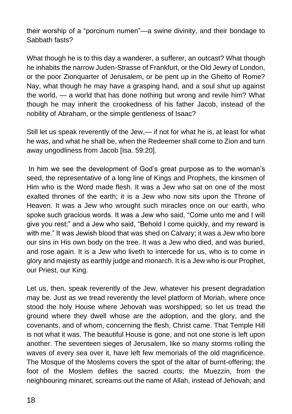their worship of a "porcinum numen"—a swine divinity, and their bondage to Sabbath fasts?

What though he is to this day a wanderer, a sufferer, an outcast? What though he inhabits the narrow Juden-Strasse of Frankfurt, or the Old Jewry of London, or the poor Zionquarter of Jerusalem, or be pent up in the Ghetto of Rome? Nay, what though he may have a grasping hand, and a soul shut up against the world, — a world that has done nothing but wrong and revile him? What though he may inherit the crookedness of his father Jacob, instead of the nobility of Abraham, or the simple gentleness of Isaac?

Still let us speak reverently of the Jew,— if not for what he is, at least for what he was, and what he shall be, when the Redeemer shall come to Zion and turn away ungodliness from Jacob [Isa. 59:20].

In him we see the development of God's great purpose as to the woman's seed, the representative of a long line of Kings and Prophets, the kinsmen of Him who is the Word made flesh. It was a Jew who sat on one of the most exalted thrones of the earth; it is a Jew who now sits upon the Throne of Heaven. It was a Jew who wrought such miracles once on our earth, who spoke such gracious words. It was a Jew who said, "Come unto me and I will give you rest;" and a Jew who said, "Behold I come quickly, and my reward is with me." It was Jewish blood that was shed on Calvary; it was a Jew who bore our sins in His own body on the tree. It was a Jew who died, and was buried, and rose again. It is a Jew who liveth to intercede for us, who is to come in glory and majesty as earthly judge and monarch. It is a Jew who is our Prophet, our Priest, our King.

Let us, then, speak reverently of the Jew, whatever his present degradation may be. Just as we tread reverently the level platform of Moriah, where once stood the holy House where Jehovah was worshipped; so let us tread the ground where they dwell whose are the adoption, and the glory, and the covenants, and of whom, concerning the flesh, Christ came. That Temple Hill is not what it was. The beautiful House is gone, and not one stone is left upon another. The seventeen sieges of Jerusalem, like so many storms rolling the waves of every sea over it, have left few memorials of the old magnificence. The Mosque of the Moslems covers the spot of the altar of burnt-offering; the foot of the Moslem defiles the sacred courts; the Muezzin, from the neighbouring minaret, screams out the name of Allah, instead of Jehovah; and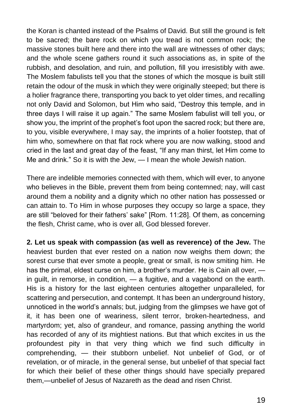the Koran is chanted instead of the Psalms of David. But still the ground is felt to be sacred; the bare rock on which you tread is not common rock; the massive stones built here and there into the wall are witnesses of other days; and the whole scene gathers round it such associations as, in spite of the rubbish, and desolation, and ruin, and pollution, fill you irresistibly with awe. The Moslem fabulists tell you that the stones of which the mosque is built still retain the odour of the musk in which they were originally steeped; but there is a holier fragrance there, transporting you back to yet older times, and recalling not only David and Solomon, but Him who said, "Destroy this temple, and in three days I will raise it up again." The same Moslem fabulist will tell you, or show you, the imprint of the prophet's foot upon the sacred rock; but there are, to you, visible everywhere, I may say, the imprints of a holier footstep, that of him who, somewhere on that flat rock where you are now walking, stood and cried in the last and great day of the feast, "If any man thirst, let Him come to Me and drink." So it is with the Jew, — I mean the whole Jewish nation.

There are indelible memories connected with them, which will ever, to anyone who believes in the Bible, prevent them from being contemned; nay, will cast around them a nobility and a dignity which no other nation has possessed or can attain to. To Him in whose purposes they occupy so large a space, they are still "beloved for their fathers' sake" [Rom. 11:28]. Of them, as concerning the flesh, Christ came, who is over all, God blessed forever.

**2. Let us speak with compassion (as well as reverence) of the Jew.** The heaviest burden that ever rested on a nation now weighs them down; the sorest curse that ever smote a people, great or small, is now smiting him. He has the primal, eldest curse on him, a brother's murder. He is Cain all over, in guilt, in remorse, in condition, — a fugitive, and a vagabond on the earth. His is a history for the last eighteen centuries altogether unparalleled, for scattering and persecution, and contempt. It has been an underground history, unnoticed in the world's annals; but, judging from the glimpses we have got of it, it has been one of weariness, silent terror, broken-heartedness, and martyrdom; yet, also of grandeur, and romance, passing anything the world has recorded of any of its mightiest nations. But that which excites in us the profoundest pity in that very thing which we find such difficulty in comprehending, — their stubborn unbelief. Not unbelief of God, or of revelation, or of miracle, in the general sense, but unbelief of that special fact for which their belief of these other things should have specially prepared them,—unbelief of Jesus of Nazareth as the dead and risen Christ.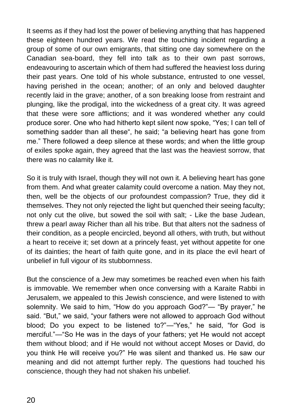It seems as if they had lost the power of believing anything that has happened these eighteen hundred years. We read the touching incident regarding a group of some of our own emigrants, that sitting one day somewhere on the Canadian sea-board, they fell into talk as to their own past sorrows, endeavouring to ascertain which of them had suffered the heaviest loss during their past years. One told of his whole substance, entrusted to one vessel, having perished in the ocean; another; of an only and beloved daughter recently laid in the grave; another, of a son breaking loose from restraint and plunging, like the prodigal, into the wickedness of a great city. It was agreed that these were sore afflictions; and it was wondered whether any could produce sorer. One who had hitherto kept silent now spoke, "Yes; I can tell of something sadder than all these", he said; "a believing heart has gone from me." There followed a deep silence at these words; and when the little group of exiles spoke again, they agreed that the last was the heaviest sorrow, that there was no calamity like it.

So it is truly with Israel, though they will not own it. A believing heart has gone from them. And what greater calamity could overcome a nation. May they not, then, well be the objects of our profoundest compassion? True, they did it themselves. They not only rejected the light but quenched their seeing faculty; not only cut the olive, but sowed the soil with salt; - Like the base Judean, threw a pearl away Richer than all his tribe. But that alters not the sadness of their condition, as a people encircled, beyond all others, with truth, but without a heart to receive it; set down at a princely feast, yet without appetite for one of its dainties; the heart of faith quite gone, and in its place the evil heart of unbelief in full vigour of its stubbornness.

But the conscience of a Jew may sometimes be reached even when his faith is immovable. We remember when once conversing with a Karaite Rabbi in Jerusalem, we appealed to this Jewish conscience, and were listened to with solemnity. We said to him, "How do you approach God?"— "By prayer," he said. "But," we said, "your fathers were not allowed to approach God without blood; Do you expect to be listened to?"—"Yes," he said, "for God is merciful."—"So He was in the days of your fathers; yet He would not accept them without blood; and if He would not without accept Moses or David, do you think He will receive you?" He was silent and thanked us. He saw our meaning and did not attempt further reply. The questions had touched his conscience, though they had not shaken his unbelief.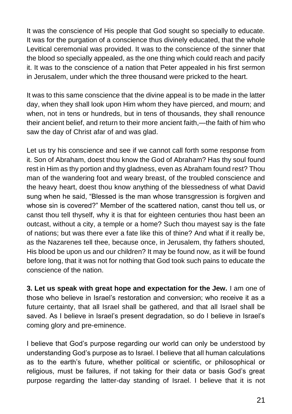It was the conscience of His people that God sought so specially to educate. It was for the purgation of a conscience thus divinely educated, that the whole Levitical ceremonial was provided. It was to the conscience of the sinner that the blood so specially appealed, as the one thing which could reach and pacify it. It was to the conscience of a nation that Peter appealed in his first sermon in Jerusalem, under which the three thousand were pricked to the heart.

It was to this same conscience that the divine appeal is to be made in the latter day, when they shall look upon Him whom they have pierced, and mourn; and when, not in tens or hundreds, but in tens of thousands, they shall renounce their ancient belief, and return to their more ancient faith,—the faith of him who saw the day of Christ afar of and was glad.

Let us try his conscience and see if we cannot call forth some response from it. Son of Abraham, doest thou know the God of Abraham? Has thy soul found rest in Him as thy portion and thy gladness, even as Abraham found rest? Thou man of the wandering foot and weary breast, of the troubled conscience and the heavy heart, doest thou know anything of the blessedness of what David sung when he said, "Blessed is the man whose transgression is forgiven and whose sin is covered?" Member of the scattered nation, canst thou tell us, or canst thou tell thyself, why it is that for eighteen centuries thou hast been an outcast, without a city, a temple or a home? Such thou mayest say is the fate of nations; but was there ever a fate like this of thine? And what if it really be, as the Nazarenes tell thee, because once, in Jerusalem, thy fathers shouted, His blood be upon us and our children? It may be found now, as it will be found before long, that it was not for nothing that God took such pains to educate the conscience of the nation.

**3. Let us speak with great hope and expectation for the Jew.** I am one of those who believe in Israel's restoration and conversion; who receive it as a future certainty, that all Israel shall be gathered, and that all Israel shall be saved. As I believe in Israel's present degradation, so do I believe in Israel's coming glory and pre-eminence.

I believe that God's purpose regarding our world can only be understood by understanding God's purpose as to Israel. I believe that all human calculations as to the earth's future, whether political or scientific, or philosophical or religious, must be failures, if not taking for their data or basis God's great purpose regarding the latter-day standing of Israel. I believe that it is not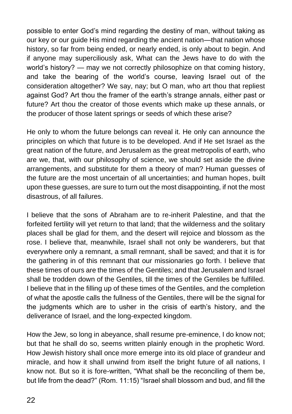possible to enter God's mind regarding the destiny of man, without taking as our key or our guide His mind regarding the ancient nation—that nation whose history, so far from being ended, or nearly ended, is only about to begin. And if anyone may superciliously ask, What can the Jews have to do with the world's history? — may we not correctly philosophize on that coming history, and take the bearing of the world's course, leaving Israel out of the consideration altogether? We say, nay; but O man, who art thou that repliest against God? Art thou the framer of the earth's strange annals, either past or future? Art thou the creator of those events which make up these annals, or the producer of those latent springs or seeds of which these arise?

He only to whom the future belongs can reveal it. He only can announce the principles on which that future is to be developed. And if He set Israel as the great nation of the future, and Jerusalem as the great metropolis of earth, who are we, that, with our philosophy of science, we should set aside the divine arrangements, and substitute for them a theory of man? Human guesses of the future are the most uncertain of all uncertainties; and human hopes, built upon these guesses, are sure to turn out the most disappointing, if not the most disastrous, of all failures.

I believe that the sons of Abraham are to re-inherit Palestine, and that the forfeited fertility will yet return to that land; that the wilderness and the solitary places shall be glad for them, and the desert will rejoice and blossom as the rose. I believe that, meanwhile, Israel shall not only be wanderers, but that everywhere only a remnant, a small remnant, shall be saved; and that it is for the gathering in of this remnant that our missionaries go forth. I believe that these times of ours are the times of the Gentiles; and that Jerusalem and Israel shall be trodden down of the Gentiles, till the times of the Gentiles be fulfilled. I believe that in the filling up of these times of the Gentiles, and the completion of what the apostle calls the fullness of the Gentiles, there will be the signal for the judgments which are to usher in the crisis of earth's history, and the deliverance of Israel, and the long-expected kingdom.

How the Jew, so long in abeyance, shall resume pre-eminence, I do know not; but that he shall do so, seems written plainly enough in the prophetic Word. How Jewish history shall once more emerge into its old place of grandeur and miracle, and how it shall unwind from itself the bright future of all nations, I know not. But so it is fore-written, "What shall be the reconciling of them be, but life from the dead?" (Rom. 11:15) "Israel shall blossom and bud, and fill the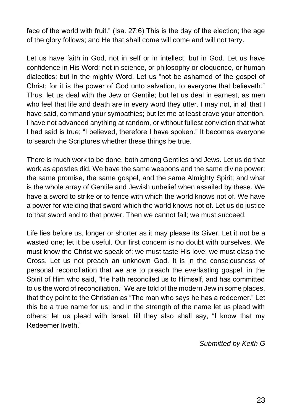face of the world with fruit." (Isa. 27:6) This is the day of the election; the age of the glory follows; and He that shall come will come and will not tarry.

Let us have faith in God, not in self or in intellect, but in God. Let us have confidence in His Word; not in science, or philosophy or eloquence, or human dialectics; but in the mighty Word. Let us "not be ashamed of the gospel of Christ; for it is the power of God unto salvation, to everyone that believeth." Thus, let us deal with the Jew or Gentile; but let us deal in earnest, as men who feel that life and death are in every word they utter. I may not, in all that I have said, command your sympathies; but let me at least crave your attention. I have not advanced anything at random, or without fullest conviction that what I had said is true; "I believed, therefore I have spoken." It becomes everyone to search the Scriptures whether these things be true.

There is much work to be done, both among Gentiles and Jews. Let us do that work as apostles did. We have the same weapons and the same divine power; the same promise, the same gospel, and the same Almighty Spirit; and what is the whole array of Gentile and Jewish unbelief when assailed by these. We have a sword to strike or to fence with which the world knows not of. We have a power for wielding that sword which the world knows not of. Let us do justice to that sword and to that power. Then we cannot fail; we must succeed.

Life lies before us, longer or shorter as it may please its Giver. Let it not be a wasted one; let it be useful. Our first concern is no doubt with ourselves. We must know the Christ we speak of; we must taste His love; we must clasp the Cross. Let us not preach an unknown God. It is in the consciousness of personal reconciliation that we are to preach the everlasting gospel, in the Spirit of Him who said, "He hath reconciled us to Himself, and has committed to us the word of reconciliation." We are told of the modern Jew in some places, that they point to the Christian as "The man who says he has a redeemer." Let this be a true name for us; and in the strength of the name let us plead with others; let us plead with Israel, till they also shall say, "I know that my Redeemer liveth."

*Submitted by Keith G*